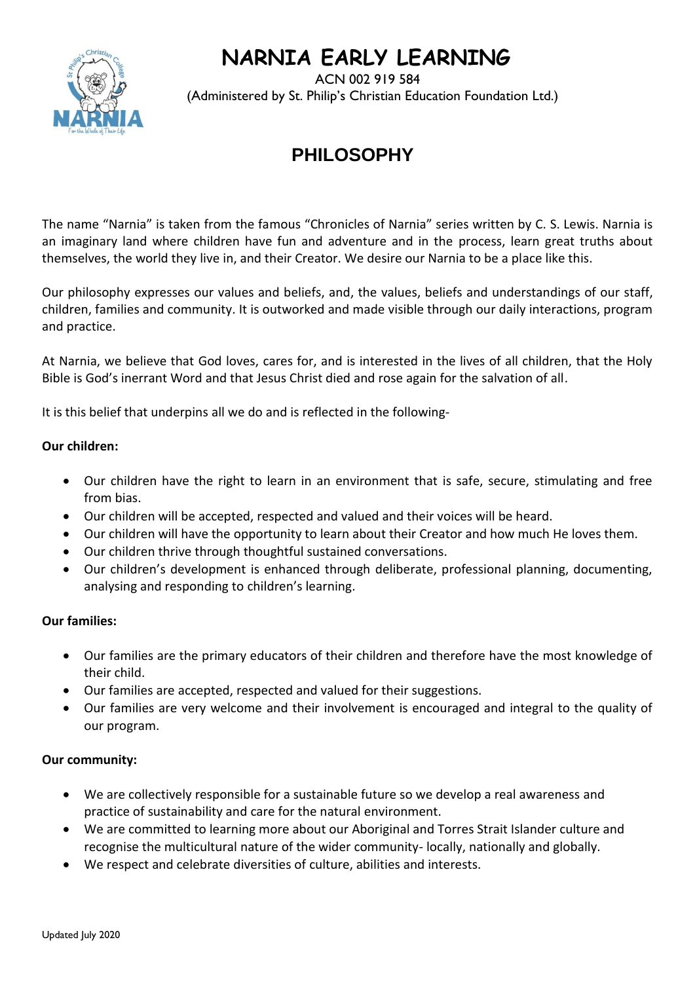# **NARNIA EARLY LEARNING**



 ACN 002 919 584 (Administered by St. Philip's Christian Education Foundation Ltd.)

# **PHILOSOPHY**

The name "Narnia" is taken from the famous "Chronicles of Narnia" series written by C. S. Lewis. Narnia is an imaginary land where children have fun and adventure and in the process, learn great truths about themselves, the world they live in, and their Creator. We desire our Narnia to be a place like this.

Our philosophy expresses our values and beliefs, and, the values, beliefs and understandings of our staff, children, families and community. It is outworked and made visible through our daily interactions, program and practice.

At Narnia, we believe that God loves, cares for, and is interested in the lives of all children, that the Holy Bible is God's inerrant Word and that Jesus Christ died and rose again for the salvation of all.

It is this belief that underpins all we do and is reflected in the following-

# **Our children:**

- Our children have the right to learn in an environment that is safe, secure, stimulating and free from bias.
- Our children will be accepted, respected and valued and their voices will be heard.
- Our children will have the opportunity to learn about their Creator and how much He loves them.
- Our children thrive through thoughtful sustained conversations.
- Our children's development is enhanced through deliberate, professional planning, documenting, analysing and responding to children's learning.

# **Our families:**

- Our families are the primary educators of their children and therefore have the most knowledge of their child.
- Our families are accepted, respected and valued for their suggestions.
- Our families are very welcome and their involvement is encouraged and integral to the quality of our program.

#### **Our community:**

- We are collectively responsible for a sustainable future so we develop a real awareness and practice of sustainability and care for the natural environment.
- We are committed to learning more about our Aboriginal and Torres Strait Islander culture and recognise the multicultural nature of the wider community- locally, nationally and globally.
- We respect and celebrate diversities of culture, abilities and interests.